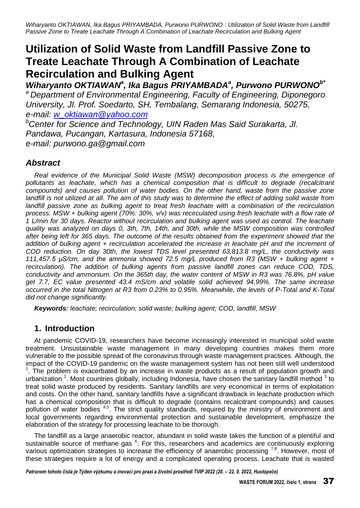# **Utilization of Solid Waste from Landfill Passive Zone to Treate Leachate Through A Combination of Leachate Recirculation and Bulking Agent**

Wiharyanto OKTIAWAN<sup>a</sup>, Ika Bagus PRIYAMBADA<sup>a</sup>, Purwono PURWONO<sup>b\*</sup> *<sup>a</sup>Department of Environmental Engineering, Faculty of Engineering, Diponegoro University, Jl. Prof. Soedarto, SH, Tembalang, Semarang Indonesia, 50275, e-mail: [w\\_oktiawan@yahoo.com](mailto:w_oktiawan@yahoo.com)*

*<sup>b</sup>Center for Science and Technology, UIN Raden Mas Said Surakarta, Jl. Pandawa, Pucangan, Kartasura, Indonesia 57168, e-mail: purwono.ga@gmail.com*

# *Abstract*

*Real evidence of the Municipal Solid Waste (MSW) decomposition process is the emergence of pollutants as leachate, which has a chemical composition that is difficult to degrade (recalcitrant compounds) and causes pollution of water bodies. On the other hand, waste from the passive zone*  landfill is not utilized at all. The aim of this study was to determine the effect of adding solid waste from landfill passive zone as bulking agent to treat fresh leachate with a combination of the recirculation *process. MSW + bulking agent (70%: 30%, v/v) was recirculated using fresh leachate with a flow rate of 1 L/min for 30 days. Reactor without recirculation and bulking agent was used as control. The leachate quality was analyzed on days 0, 3th, 7th, 14th, and 30th, while the MSW composition was controlled after being left for 365 days. The outcome of the results obtained from the experiment showed that the addition of bulking agent + recirculation accelerated the increase in leachate pH and the increment of COD reduction. On day 30th, the lowest TDS level presented 63,813.8 mg/L, the conductivity was 111,457.5 µS/cm, and the ammonia showed 72.5 mg/L produced from R3 (MSW + bulking agent + recirculation). The addition of bulking agents from passive landfill zones can reduce COD, TDS, conductivity and ammonium. On the 365th day, the water content of MSW in R3 was 76.8%, pH value get 7.7, EC value presented 43.4 mS/cm and volatile solid achieved 94.99%. The same increase occurred in the total Nitrogen at R3 from 0.23% to 0.95%. Meanwhile, the levels of P-Total and K-Total did not change significantly.* 

*Keywords: leachate; recirculation; solid waste; bulking agent; COD, landfill, MSW*

# **1. Introduction**

At pandemic COVID-19, researchers have become increasingly interested in municipal solid waste treatment. Unsustainable waste management in many developing countries makes them more vulnerable to the possible spread of the coronavirus through waste management practices. Although, the impact of the COVID-19 pandemic on the waste management system has not been still well understood  $1$ . The problem is exacerbated by an increase in waste products as a result of population growth and urbanization  $2$ . Most countries globally, including Indonesia, have chosen the sanitary landfill method  $3$  to treat solid waste produced by residents. Sanitary landfills are very economical in terms of exploitation and costs. On the other hand, sanitary landfills have a significant drawback in leachate production which has a chemical composition that is difficult to degrade (contains recalcitrant compounds) and causes pollution of water bodies <sup>4,5</sup>. The strict quality standards, required by the ministry of environment and local governments regarding environmental protection and sustainable development, emphasize the elaboration of the strategy for processing leachate to be thorough.

The landfill as a large anaerobic reactor, abundant in solid waste takes the function of a plentiful and sustainable source of methane gas <sup>6</sup>. For this, researchers and academics are continuously exploring various optimization strategies to increase the efficiency of anaerobic processing  $7,8$ . However, most of these strategies require a lot of energy and a complicated operating process. Leachate that is wasted

*Patronem tohoto čísla je Týden výzkumu a inovací pro praxi a životní prostředí TVIP 2022 (20. – 22. 9. 2022, Hustopeče)*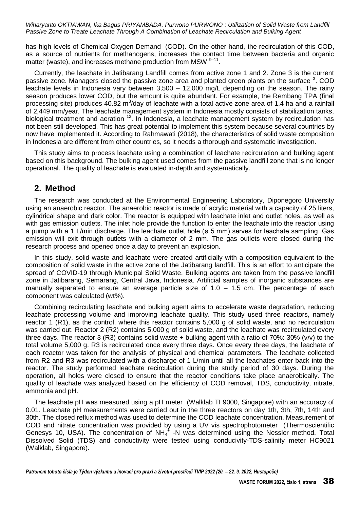has high levels of Chemical Oxygen Demand (COD). On the other hand, the recirculation of this COD, as a source of nutrients for methanogens, increases the contact time between bacteria and organic matter (waste), and increases methane production from MSW  $9-11$ .

Currently, the leachate in Jatibarang Landfill comes from active zone 1 and 2. Zone 3 is the current passive zone. Managers closed the passive zone area and planted green plants on the surface  $3$ . COD leachate levels in Indonesia vary between 3,500 – 12,000 mg/L depending on the season. The rainy season produces lower COD, but the amount is quite abundant. For example, the Rembang TPA (final processing site) produces 40.82 m<sup>3</sup>/day of leachate with a total active zone area of 1.4 ha and a rainfall of 2,449 mm/year. The leachate management system in Indonesia mostly consists of stabilization tanks, biological treatment and aeration <sup>12</sup>. In Indonesia, a leachate management system by recirculation has not been still developed. This has great potential to implement this system because several countries by now have implemented it. According to Rahmawati (2018), the characteristics of solid waste composition in Indonesia are different from other countries, so it needs a thorough and systematic investigation.

This study aims to process leachate using a combination of leachate recirculation and bulking agent based on this background. The bulking agent used comes from the passive landfill zone that is no longer operational. The quality of leachate is evaluated in-depth and systematically.

### **2. Method**

The research was conducted at the Environmental Engineering Laboratory, Diponegoro University using an anaerobic reactor. The anaerobic reactor is made of acrylic material with a capacity of 25 liters, cylindrical shape and dark color. The reactor is equipped with leachate inlet and outlet holes, as well as with gas emission outlets. The inlet hole provide the function to enter the leachate into the reactor using a pump with a 1 L/min discharge. The leachate outlet hole (ø 5 mm) serves for leachate sampling. Gas emission will exit through outlets with a diameter of 2 mm. The gas outlets were closed during the research process and opened once a day to prevent an explosion.

In this study, solid waste and leachate were created artificially with a composition equivalent to the composition of solid waste in the active zone of the Jatibarang landfill. This is an effort to anticipate the spread of COVID-19 through Municipal Solid Waste. Bulking agents are taken from the passive landfill zone in Jatibarang, Semarang, Central Java, Indonesia. Artificial samples of inorganic substances are manually separated to ensure an average particle size of  $1.0 - 1.5$  cm. The percentage of each component was calculated (wt%).

Combining recirculating leachate and bulking agent aims to accelerate waste degradation, reducing leachate processing volume and improving leachate quality. This study used three reactors, namely reactor 1 (R1), as the control, where this reactor contains 5,000 g of solid waste, and no recirculation was carried out. Reactor 2 (R2) contains 5,000 g of solid waste, and the leachate was recirculated every three days. The reactor 3 (R3) contains solid waste  $+$  bulking agent with a ratio of 70%: 30% (v/v) to the total volume 5,000 g. R3 is recirculated once every three days. Once every three days, the leachate of each reactor was taken for the analysis of physical and chemical parameters. The leachate collected from R2 and R3 was recirculated with a discharge of 1 L/min until all the leachates enter back into the reactor. The study performed leachate recirculation during the study period of 30 days. During the operation, all holes were closed to ensure that the reactor conditions take place anaerobically. The quality of leachate was analyzed based on the efficiency of COD removal, TDS, conductivity, nitrate, ammonia and pH.

The leachate pH was measured using a pH meter (Walklab TI 9000, Singapore) with an accuracy of 0.01. Leachate pH measurements were carried out in the three reactors on day 1th, 3th, 7th, 14th and 30th. The closed reflux method was used to determine the COD leachate concentration. Measurement of COD and nitrate concentration was provided by using a UV vis spectrophotometer (Thermoscientific Genesys 10, USA). The concentration of  $NH_4^+$  -N was determined using the Nessler method. Total Dissolved Solid (TDS) and conductivity were tested using conducivity-TDS-salinity meter HC9021 (Walklab, Singapore).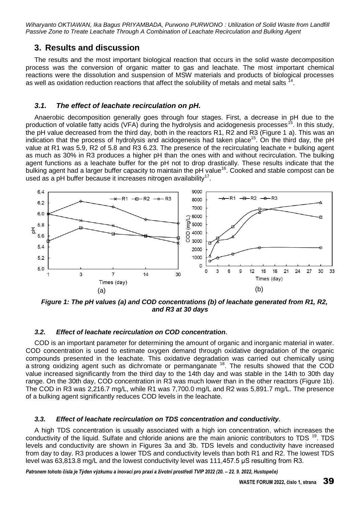### 3. Results and discussion

The results and the most important biological reaction that occurs in the solid waste decomposition process was the conversion of organic matter to gas and leachate. The most important chemical reactions were the dissolution and suspension of MSW materials and products of biological processes as well as oxidation reduction reactions that affect the solubility of metals and metal salts  $^{74}$ .

#### $3.1.$ The effect of leachate recirculation on pH.

Anaerobic decomposition generally goes through four stages. First, a decrease in pH due to the production of volatile fatty acids (VFA) during the hydrolysis and acidogenesis processes<sup>15</sup>. In this study, the pH value decreased from the third day, both in the reactors R1, R2 and R3 (Figure 1 a). This was an indication that the process of hydrolysis and acidogenesis had taken place<sup>15</sup>. On the third day, the pH value at R1 was 5.9, R2 of 5.8 and R3 6.23. The presence of the recirculating leachate + bulking agent as much as 30% in R3 produces a higher pH than the ones with and without recirculation. The bulking agent functions as a leachate buffer for the pH not to drop drastically. These results indicate that the bulking agent had a larger buffer capacity to maintain the pH value<sup>16</sup>. Cooked and stable compost can be used as a pH buffer because it increases nitrogen availability<sup>17</sup>.



Figure 1: The pH values (a) and COD concentrations (b) of leachate generated from R1, R2. and R3 at 30 days

#### $3.2.$ Effect of leachate recirculation on COD concentration.

COD is an important parameter for determining the amount of organic and inorganic material in water. COD concentration is used to estimate oxygen demand through oxidative degradation of the organic compounds presented in the leachate. This oxidative degradation was carried out chemically using a strong oxidizing agent such as dichromate or permanganate <sup>18</sup>. The results showed that the COD value increased significantly from the third day to the 14th day and was stable in the 14th to 30th day range. On the 30th day, COD concentration in R3 was much lower than in the other reactors (Figure 1b). The COD in R3 was 2,216.7 mg/L, while R1 was 7,700.0 mg/L and R2 was 5,891.7 mg/L. The presence of a bulking agent significantly reduces COD levels in the leachate.

#### $3.3.$ Effect of leachate recirculation on TDS concentration and conductivity.

A high TDS concentration is usually associated with a high ion concentration, which increases the conductivity of the liquid. Sulfate and chloride anions are the main anionic contributors to TDS<sup>19</sup>. TDS levels and conductivity are shown in Figures 3a and 3b. TDS levels and conductivity have increased from day to day. R3 produces a lower TDS and conductivity levels than both R1 and R2. The lowest TDS level was 63,813.8 mg/L and the lowest conductivity level was 111,457.5 uS resulting from R3.

Patronem tohoto čísla je Týden výzkumu a inovací pro praxi a životní prostředí TVIP 2022 (20. - 22. 9. 2022, Hustopeče)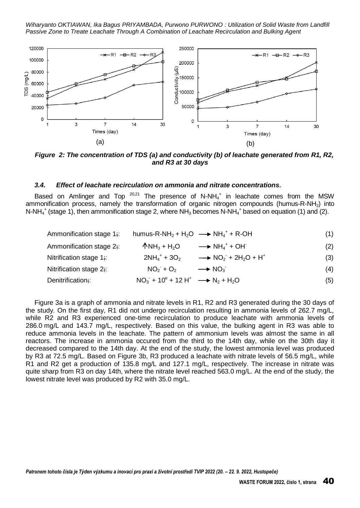

Figure 2: The concentration of TDS (a) and conductivity (b) of leachate generated from R1, R2, and R3 at 30 days

#### $3.4.$ Effect of leachate recirculation on ammonia and nitrate concentrations.

Based on Amlinger and Top  $^{20,21}$  The presence of N-NH<sub>4</sub><sup>+</sup> in leachate comes from the MSW ammonification process, namely the transformation of organic nitrogen compounds (humus-R-NH<sub>2</sub>) into N-NH<sub>4</sub><sup>+</sup> (stage 1), then ammonification stage 2, where NH<sub>3</sub> becomes N-NH<sub>4</sub><sup>+</sup> based on equation (1) and (2).

| Ammonification stage $1$ . |                                        | humus-R-NH <sub>2</sub> + H <sub>2</sub> O $\longrightarrow$ NH <sub>4</sub> <sup>+</sup> + R-OH | (1) |
|----------------------------|----------------------------------------|--------------------------------------------------------------------------------------------------|-----|
| Ammonification stage 2.:   | $\bigwedge N H_3 + H_2 O$              | $\longrightarrow$ NH <sub>4</sub> <sup>+</sup> + OH                                              | (2) |
| Nitrification stage $1$ .  | $2NH_4$ <sup>+</sup> + 3O <sub>2</sub> | $\rightarrow$ NO <sub>2</sub> + 2H <sub>2</sub> O + H <sup>+</sup>                               | (3) |
| Nitrification stage 2;     | $NO_2 + O_2$                           | $\rightarrow$ NO <sub>3</sub>                                                                    | (4) |

 $NO_3$  + 10<sup>e</sup> + 12 H<sup>+</sup>  $\longrightarrow N_2 + H_2O$ Denitrification;:  $(5)$ 

Figure 3a is a graph of ammonia and nitrate levels in R1, R2 and R3 generated during the 30 days of the study. On the first day, R1 did not undergo recirculation resulting in ammonia levels of 262.7 mg/L, while R2 and R3 experienced one-time recirculation to produce leachate with ammonia levels of 286.0 mg/L and 143.7 mg/L, respectively. Based on this value, the bulking agent in R3 was able to reduce ammonia levels in the leachate. The pattern of ammonium levels was almost the same in all reactors. The increase in ammonia occured from the third to the 14th day, while on the 30th day it decreased compared to the 14th day. At the end of the study, the lowest ammonia level was produced by R3 at 72.5 mg/L. Based on Figure 3b, R3 produced a leachate with nitrate levels of 56.5 mg/L, while R1 and R2 get a production of 135.8 mg/L and 127.1 mg/L, respectively. The increase in nitrate was guite sharp from R3 on day 14th, where the nitrate level reached 563.0 mg/L. At the end of the study, the lowest nitrate level was produced by R2 with 35.0 mg/L.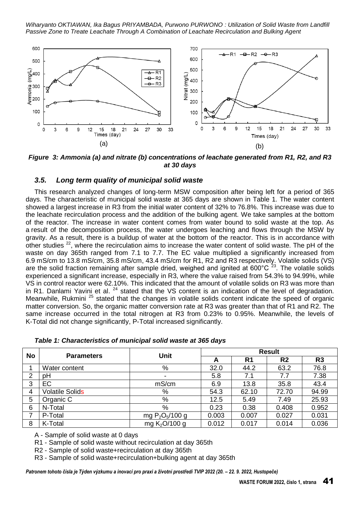

Figure 3: Ammonia (a) and nitrate (b) concentrations of leachate generated from R1, R2, and R3 at 30 days

#### $3.5.$ Long term quality of municipal solid waste

This research analyzed changes of long-term MSW composition after being left for a period of 365 days. The characteristic of municipal solid waste at 365 days are shown in Table 1. The water content showed a largest increase in R3 from the initial water content of 32% to 76.8%. This increase was due to the leachate recirculation process and the addition of the bulking agent. We take samples at the bottom of the reactor. The increase in water content comes from water bound to solid waste at the top. As a result of the decomposition process, the water undergoes leaching and flows through the MSW by gravity. As a result, there is a buildup of water at the bottom of the reactor. This is in accordance with other studies <sup>22</sup>, where the recirculation aims to increase the water content of solid waste. The pH of the waste on day 365th ranged from 7.1 to 7.7. The EC value multiplied a significantly increased from 6.9 mS/cm to 13.8 mS/cm, 35.8 mS/cm, 43.4 mS/cm for R1, R2 and R3 respectively. Volatile solids (VS) are the solid fraction remaining after sample dried, weighed and ignited at  $600^{\circ}$ C  $^{23}$ . The volatile solids experienced a significant increase, especially in R3, where the value raised from 54.3% to 94.99%, while VS in control reactor were 62.10%. This indicated that the amount of volatile solids on R3 was more than in R1. Danlami Yavini et al. <sup>24</sup> stated that the VS content is an indication of the level of degradation. Meanwhile, Rukmini<sup>25</sup> stated that the changes in volatile solids content indicate the speed of organic matter conversion. So, the organic matter conversion rate at R3 was greater than that of R1 and R2. The same increase occurred in the total nitrogen at R3 from 0.23% to 0.95%. Meanwhile, the levels of K-Total did not change significantly, P-Total increased significantly.

|  |  | Table 1: Characteristics of municipal solid waste at 365 days |  |  |  |  |  |  |
|--|--|---------------------------------------------------------------|--|--|--|--|--|--|
|--|--|---------------------------------------------------------------|--|--|--|--|--|--|

| <b>No</b> | <b>Parameters</b>      | Unit              | <b>Result</b> |                |                |                |
|-----------|------------------------|-------------------|---------------|----------------|----------------|----------------|
|           |                        |                   | A             | R <sub>1</sub> | R <sub>2</sub> | R <sub>3</sub> |
|           | Water content          | %                 | 32.0          | 44.2           | 63.2           | 76.8           |
| 2         | рH                     | ۰                 | 5.8           | 7.1            | 7.7            | 7.38           |
| 3         | EC                     | mS/cm             | 6.9           | 13.8           | 35.8           | 43.4           |
| 4         | <b>Volatile Solids</b> | %                 | 54.3          | 62.10          | 72.70          | 94.99          |
| 5         | Organic C              | %                 | 12.5          | 5.49           | 7.49           | 25.93          |
| 6         | N-Total                | %                 | 0.23          | 0.38           | 0.408          | 0.952          |
|           | P-Total                | mg $P_2O_5/100$ g | 0.003         | 0.007          | 0.027          | 0.031          |
| 8         | K-Total                | mg $K_2$ O/100 g  | 0.012         | 0.017          | 0.014          | 0.036          |

A - Sample of solid waste at 0 days

R1 - Sample of solid waste without recirculation at day 365th

R2 - Sample of solid waste+recirculation at day 365th

R3 - Sample of solid waste+recirculation+bulking agent at day 365th

Patronem tohoto čísla je Týden výzkumu a inovací pro praxi a životní prostředí TVIP 2022 (20. - 22. 9. 2022, Hustopeče)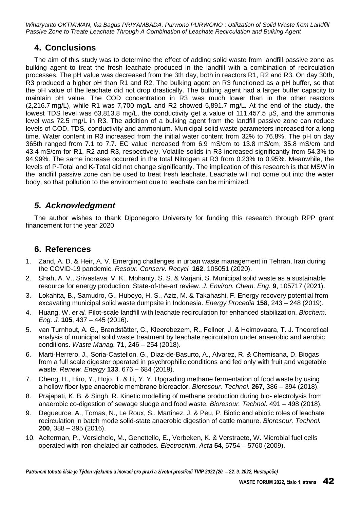# **4. Conclusions**

The aim of this study was to determine the effect of adding solid waste from landfill passive zone as bulking agent to treat the fresh leachate produced in the landfill with a combination of recirculation processes. The pH value was decreased from the 3th day, both in reactors R1, R2 and R3. On day 30th, R3 produced a higher pH than R1 and R2. The bulking agent on R3 functioned as a pH buffer, so that the pH value of the leachate did not drop drastically. The bulking agent had a larger buffer capacity to maintain pH value. The COD concentration in R3 was much lower than in the other reactors (2,216.7 mg/L), while R1 was 7,700 mg/L and R2 showed 5,891.7 mg/L. At the end of the study, the lowest TDS level was 63,813.8 mg/L, the conductivity get a value of 111,457.5 µS, and the ammonia level was 72.5 mg/L in R3. The addition of a bulking agent from the landfill passive zone can reduce levels of COD, TDS, conductivity and ammonium. Municipal solid waste parameters increased for a long time. Water content in R3 increased from the initial water content from 32% to 76.8%. The pH on day 365th ranged from 7.1 to 7.7. EC value increased from 6.9 mS/cm to 13.8 mS/cm, 35.8 mS/cm and 43.4 mS/cm for R1, R2 and R3, respectively. Volatile solids in R3 increased significantly from 54.3% to 94.99%. The same increase occurred in the total Nitrogen at R3 from 0.23% to 0.95%. Meanwhile, the levels of P-Total and K-Total did not change significantly. The implication of this research is that MSW in the landfill passive zone can be used to treat fresh leachate. Leachate will not come out into the water body, so that pollution to the environment due to leachate can be minimized.

# *5. Acknowledgment*

The author wishes to thank Diponegoro University for funding this research through RPP grant financement for the year 2020

## **6. References**

- 1. Zand, A. D. & Heir, A. V. Emerging challenges in urban waste management in Tehran, Iran during the COVID-19 pandemic. *Resour. Conserv. Recycl.* **162**, 105051 (2020).
- 2. Shah, A. V., Srivastava, V. K., Mohanty, S. S. & Varjani, S. Municipal solid waste as a sustainable resource for energy production: State-of-the-art review. *J. Environ. Chem. Eng.* **9**, 105717 (2021).
- 3. Lokahita, B., Samudro, G., Huboyo, H. S., Aziz, M. & Takahashi, F. Energy recovery potential from excavating municipal solid waste dumpsite in Indonesia. *Energy Procedia* **158**, 243 – 248 (2019).
- 4. Huang, W. *et al.* Pilot-scale landfill with leachate recirculation for enhanced stabilization. *Biochem. Eng. J.* **105**, 437 – 445 (2016).
- 5. van Turnhout, A. G., Brandstätter, C., Kleerebezem, R., Fellner, J. & Heimovaara, T. J. Theoretical analysis of municipal solid waste treatment by leachate recirculation under anaerobic and aerobic conditions. *Waste Manag.* **71**, 246 – 254 (2018).
- 6. Marti-Herrero, J., Soria-Castellon, G., Diaz-de-Basurto, A., Alvarez, R. & Chemisana, D. Biogas from a full scale digester operated in psychrophilic conditions and fed only with fruit and vegetable waste. *Renew. Energy* **133**, 676 – 684 (2019).
- 7. Cheng, H., Hiro, Y., Hojo, T. & Li, Y. Y. Upgrading methane fermentation of food waste by using a hollow fiber type anaerobic membrane bioreactor. *Bioresour. Technol.* **267**, 386 – 394 (2018).
- 8. Prajapati, K. B. & Singh, R. Kinetic modelling of methane production during bio- electrolysis from anaerobic co-digestion of sewage sludge and food waste. *Bioresour. Technol.* 491 – 498 (2018).
- 9. Degueurce, A., Tomas, N., Le Roux, S., Martinez, J. & Peu, P. Biotic and abiotic roles of leachate recirculation in batch mode solid-state anaerobic digestion of cattle manure. *Bioresour. Technol.* **200**, 388 – 395 (2016).
- 10. Aelterman, P., Versichele, M., Genettello, E., Verbeken, K. & Verstraete, W. Microbial fuel cells operated with iron-chelated air cathodes. *Electrochim. Acta* **54**, 5754 – 5760 (2009).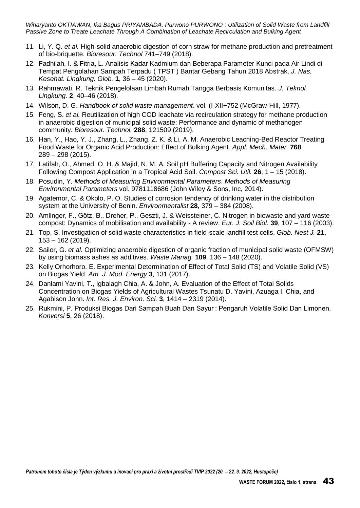- 11. Li, Y. Q. *et al.* High-solid anaerobic digestion of corn straw for methane production and pretreatment of bio-briquette. *Bioresour. Technol* 741–749 (2018).
- 12. Fadhilah, I. & Fitria, L. Analisis Kadar Kadmium dan Beberapa Parameter Kunci pada Air Lindi di Tempat Pengolahan Sampah Terpadu ( TPST ) Bantar Gebang Tahun 2018 Abstrak. *J. Nas. Kesehat. Lingkung. Glob.* **1**, 36 – 45 (2020).
- 13. Rahmawati, R. Teknik Pengelolaan Limbah Rumah Tangga Berbasis Komunitas. *J. Teknol. Lingkung.* **2**, 40–46 (2018).
- 14. Wilson, D. G. *Handbook of solid waste management*. vol. (I-XII+752 (McGraw-Hill, 1977).
- 15. Feng, S. *et al.* Reutilization of high COD leachate via recirculation strategy for methane production in anaerobic digestion of municipal solid waste: Performance and dynamic of methanogen community. *Bioresour. Technol.* **288**, 121509 (2019).
- 16. Han, Y., Hao, Y. J., Zhang, L., Zhang, Z. K. & Li, A. M. Anaerobic Leaching-Bed Reactor Treating Food Waste for Organic Acid Production: Effect of Bulking Agent. *Appl. Mech. Mater.* **768**, 289 – 298 (2015).
- 17. Latifah, O., Ahmed, O. H. & Majid, N. M. A. Soil pH Buffering Capacity and Nitrogen Availability Following Compost Application in a Tropical Acid Soil. *Compost Sci. Util.* **26**, 1 – 15 (2018).
- 18. Posudin, Y. *Methods of Measuring Environmental Parameters*. *Methods of Measuring Environmental Parameters* vol. 9781118686 (John Wiley & Sons, Inc, 2014).
- 19. Agatemor, C. & Okolo, P. O. Studies of corrosion tendency of drinking water in the distribution system at the University of Benin. *Environmentalist* **28**, 379 – 384 (2008).
- 20. Amlinger, F., Götz, B., Dreher, P., Geszti, J. & Weissteiner, C. Nitrogen in biowaste and yard waste compost: Dynamics of mobilisation and availability - A review. *Eur. J. Soil Biol.* **39**, 107 – 116 (2003).
- 21. Top, S. Investigation of solid waste characteristics in field-scale landfill test cells. *Glob. Nest J.* **21**, 153 – 162 (2019).
- 22. Sailer, G. *et al.* Optimizing anaerobic digestion of organic fraction of municipal solid waste (OFMSW) by using biomass ashes as additives. *Waste Manag.* **109**, 136 – 148 (2020).
- 23. Kelly Orhorhoro, E. Experimental Determination of Effect of Total Solid (TS) and Volatile Solid (VS) on Biogas Yield. *Am. J. Mod. Energy* **3**, 131 (2017).
- 24. Danlami Yavini, T., Igbalagh Chia, A. & John, A. Evaluation of the Effect of Total Solids Concentration on Biogas Yields of Agricultural Wastes Tsunatu D. Yavini, Azuaga I. Chia, and Agabison John. *Int. Res. J. Environ. Sci.* **3**, 1414 – 2319 (2014).
- 25. Rukmini, P. Produksi Biogas Dari Sampah Buah Dan Sayur : Pengaruh Volatile Solid Dan Limonen. *Konversi* **5**, 26 (2018).